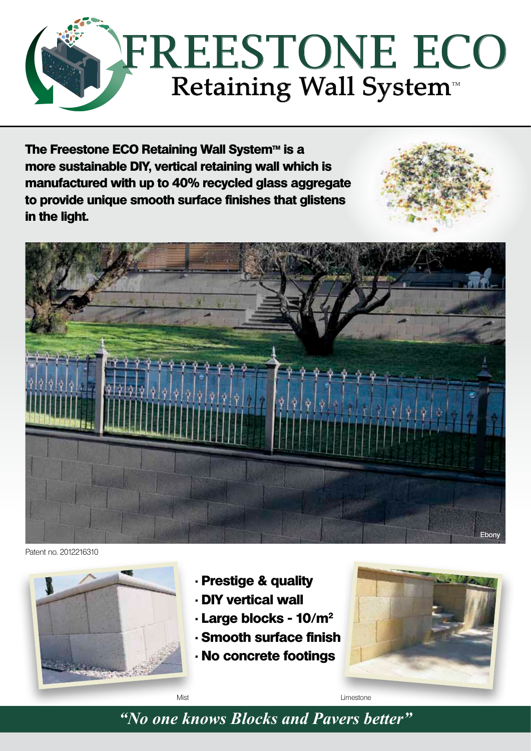

**The Freestone ECO Retaining Wall System™ is a more sustainable DIY, vertical retaining wall which is manufactured with up to 40% recycled glass aggregate to provide unique smooth surface finishes that glistens in the light.**



Patent no. 2012216310



- **Prestige & quality**
- **DIY vertical wall**
- **Large blocks 10/m<sup>2</sup>**
- **Smooth surface finish**
- **No concrete footings**



*"No one knows Blocks and Pavers better"*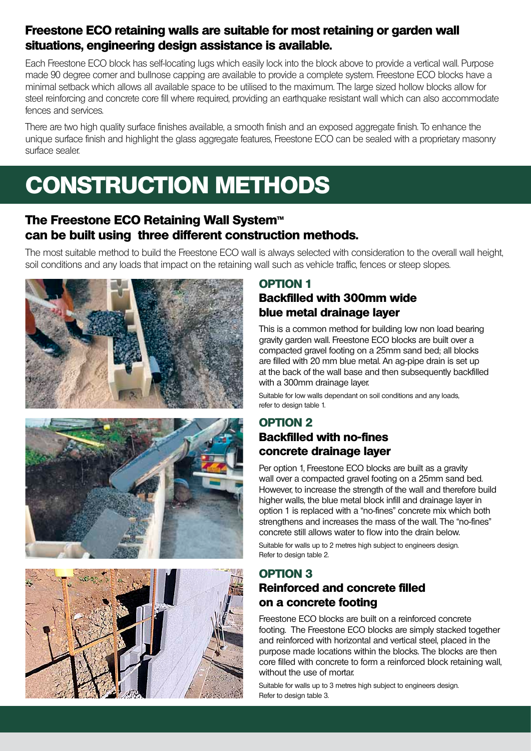#### **Freestone ECO retaining walls are suitable for most retaining or garden wall situations, engineering design assistance is available.**

Each Freestone ECO block has self-locating lugs which easily lock into the block above to provide a vertical wall. Purpose made 90 degree corner and bullnose capping are available to provide a complete system. Freestone ECO blocks have a minimal setback which allows all available space to be utilised to the maximum. The large sized hollow blocks allow for steel reinforcing and concrete core fill where required, providing an earthquake resistant wall which can also accommodate fences and services.

There are two high quality surface finishes available, a smooth finish and an exposed aggregate finish. To enhance the unique surface finish and highlight the glass aggregate features, Freestone ECO can be sealed with a proprietary masonry surface sealer.

# **construction methods**

#### **The Freestone ECO Retaining Wall System<sup>™</sup> can be built using three different construction methods.**

The most suitable method to build the Freestone ECO wall is always selected with consideration to the overall wall height, soil conditions and any loads that impact on the retaining wall such as vehicle traffic, fences or steep slopes.







#### **OPTION 1**

#### **Backfilled with 300mm wide blue metal drainage layer**

This is a common method for building low non load bearing gravity garden wall. Freestone ECO blocks are built over a compacted gravel footing on a 25mm sand bed; all blocks are filled with 20 mm blue metal. An ag-pipe drain is set up at the back of the wall base and then subsequently backfilled with a 300mm drainage layer.

Suitable for low walls dependant on soil conditions and any loads, refer to design table 1.

#### **OPTION 2 Backfilled with no-fines concrete drainage layer**

Per option 1, Freestone ECO blocks are built as a gravity wall over a compacted gravel footing on a 25mm sand bed. However, to increase the strength of the wall and therefore build higher walls, the blue metal block infill and drainage layer in option 1 is replaced with a "no-fines" concrete mix which both strengthens and increases the mass of the wall. The "no-fines" concrete still allows water to flow into the drain below. Suitable for walls up to 2 metres high subject to engineers design. Refer to design table 2.

#### **Option 3 Reinforced and concrete filled on a concrete footing**

Freestone ECO blocks are built on a reinforced concrete footing. The Freestone ECO blocks are simply stacked together and reinforced with horizontal and vertical steel, placed in the purpose made locations within the blocks. The blocks are then core filled with concrete to form a reinforced block retaining wall, without the use of mortar.

Suitable for walls up to 3 metres high subject to engineers design. Refer to design table 3.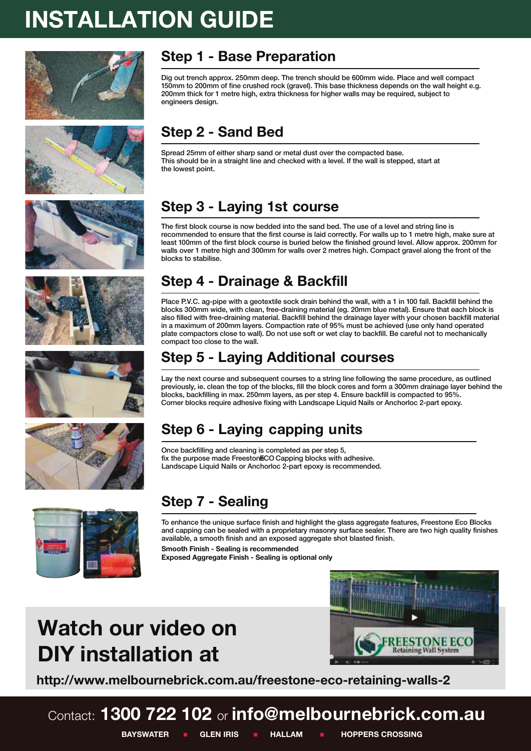# **INSTALLATION GUIDE**













### **Step 1 - Base Preparation**

Dig out trench approx. 250mm deep. The trench should be 600mm wide. Place and well compact 150mm to 200mm of fine crushed rock (gravel). This base thickness depends on the wall height e.g. 200mm thick for 1 metre high, extra thickness for higher walls may be required, subject to engineers design.

### **Step 2 - Sand Bed**

Spread 25mm of either sharp sand or metal dust over the compacted base. This should be in a straight line and checked with a level. If the wall is stepped, start at the lowest point.

# **Step 3 - Laying 1st course**

The first block course is now bedded into the sand bed. The use of a level and string line is recommended to ensure that the first course is laid correctly. For walls up to 1 metre high, make sure at least 100mm of the first block course is buried below the finished ground level. Allow approx. 200mm for walls over 1 metre high and 300mm for walls over 2 metres high. Compact gravel along the front of the blocks to stabilise.

### **Step 4 - Drainage & Backfill**

Place P.V.C. ag-pipe with a geotextile sock drain behind the wall, with a 1 in 100 fall. Backfill behind the blocks 300mm wide, with clean, free-draining material (eg. 20mm blue metal). Ensure that each block is also filled with free-draining material. Backfill behind the drainage layer with your chosen backfill material in a maximum of 200mm layers. Compaction rate of 95% must be achieved (use only hand operated plate compactors close to wall). Do not use soft or wet clay to backfill. Be careful not to mechanically compact too close to the wall.

### **Step 5 - Laying Additional courses**

Lay the next course and subsequent courses to a string line following the same procedure, as outlined previously, ie. clean the top of the blocks, fill the block cores and form a 300mm drainage layer behind the blocks, backfilling in max. 250mm layers, as per step 4. Ensure backfill is compacted to 95%. Corner blocks require adhesive fixing with Landscape Liquid Nails or Anchorloc 2-part epoxy.

### **Step 6 - Laying capping units**

Once backfilling and cleaning is completed as per step 5, fix the purpose made FreestonECO Capping blocks with adhesive. Landscape Liquid Nails or Anchorloc 2-part epoxy is recommended.



### **Step 7 - Sealing**

To enhance the unique surface finish and highlight the glass aggregate features, Freestone Eco Blocks and capping can be sealed with a proprietary masonry surface sealer. There are two high quality finishes available, a smooth finish and an exposed aggregate shot blasted finish.

**Smooth Finish - Sealing is recommended Exposed Aggregate Finish - Sealing is optional only**

# **Watch our video on DIY installation at**



**http://www.melbournebrick.com.au/freestone-eco-retaining-walls-2**

### Contact: **1300 722 102** or **info@melbournebrick.com.au BAYSWATER IGLEN IRIS I HALLAM I HOPPERS CROSSING**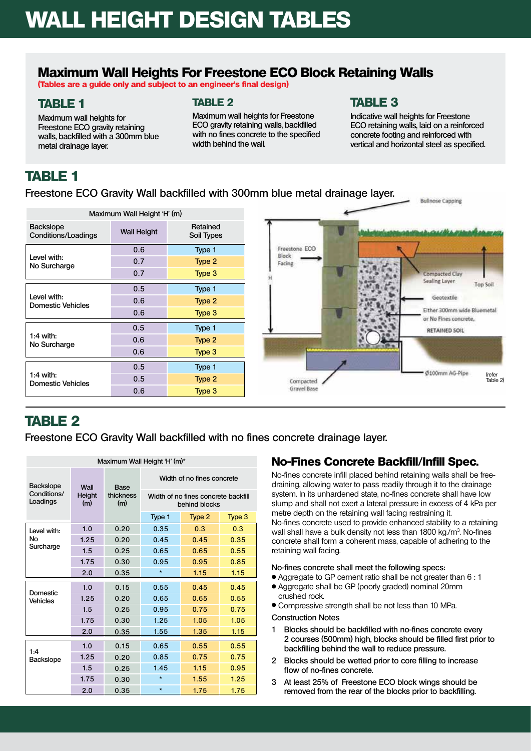### **Maximum Wall Heights For Freestone Eco Block Retaining Walls**

**(Tables are a guide only and subject to an engineer's final design)**

#### **TABLE 1**

**Maximum wall heights for Freestone Eco gravity retaining walls, backfilled with a 300mm blue metal drainage layer.** 

#### **Table 2**

**Maximum wall heights for Freestone Eco gravity retaining walls, backfilled with no fines concrete to the specified width behind the wall.**

#### **Table 3**

**Indicative wall heights for Freestone Eco retaining walls, laid on a reinforced concrete footing and reinforced with vertical and horizontal steel as specified.**

### **Table 1**

**Freestone Eco Gravity Wall backfilled with 300mm blue metal drainage layer.**

| Maximum Wall Height 'H' (m)             |                    |                        |  |  |  |
|-----------------------------------------|--------------------|------------------------|--|--|--|
| <b>Backslope</b><br>Conditions/Loadings | <b>Wall Height</b> | Retained<br>Soil Types |  |  |  |
| Level with:<br>No Surcharge             | 0.6                | Type 1                 |  |  |  |
|                                         | 0.7                | Type 2                 |  |  |  |
|                                         | 0.7                | Type 3                 |  |  |  |
| Level with:<br>Domestic Vehicles        | 0.5                | Type 1                 |  |  |  |
|                                         | 0.6                | Type 2                 |  |  |  |
|                                         | 0.6                | Type 3                 |  |  |  |
| $1:4$ with:<br>No Surcharge             | 0.5                | Type 1                 |  |  |  |
|                                         | 0.6                | Type 2                 |  |  |  |
|                                         | 0.6                | Type 3                 |  |  |  |
|                                         | 0.5                | Type 1                 |  |  |  |
| $1:4$ with:<br>Domestic Vehicles        | 0.5                | Type 2                 |  |  |  |
|                                         | 0.6                | Type 3                 |  |  |  |



### **TABLE 2**

**Freestone Eco Gravity Wall backfilled with no fines concrete drainage layer.**

| Maximum Wall Height 'H' (m)*                |                       |                          |                                                      |        |        |  |
|---------------------------------------------|-----------------------|--------------------------|------------------------------------------------------|--------|--------|--|
| <b>Backslope</b><br>Conditions/<br>Loadings | Wall<br>Height<br>(m) | Base<br>thickness<br>(m) | Width of no fines concrete                           |        |        |  |
|                                             |                       |                          | Width of no fines concrete backfill<br>behind blocks |        |        |  |
|                                             |                       |                          | Type 1                                               | Type 2 | Type 3 |  |
| Level with:<br>No<br>Surcharge              | 1.0                   | 0.20                     | 0.35                                                 | 0.3    | 0.3    |  |
|                                             | 1.25                  | 0.20                     | 0.45                                                 | 0.45   | 0.35   |  |
|                                             | 1.5                   | 0.25                     | 0.65                                                 | 0.65   | 0.55   |  |
|                                             | 1.75                  | 0.30                     | 0.95                                                 | 0.95   | 0.85   |  |
|                                             | 2.0                   | 0.35                     | $\star$                                              | 1.15   | 1.15   |  |
| Domestic<br><b>Vehicles</b>                 | 1.0                   | 0.15                     | 0.55                                                 | 0.45   | 0.45   |  |
|                                             | 1.25                  | 0.20                     | 0.65                                                 | 0.65   | 0.55   |  |
|                                             | 1.5                   | 0.25                     | 0.95                                                 | 0.75   | 0.75   |  |
|                                             | 1.75                  | 0.30                     | 1.25                                                 | 1.05   | 1.05   |  |
|                                             | 2.0                   | 0.35                     | 1.55                                                 | 1.35   | 1.15   |  |
| 1:4<br><b>Backslope</b>                     | 1.0                   | 0.15                     | 0.65                                                 | 0.55   | 0.55   |  |
|                                             | 1.25                  | 0.20                     | 0.85                                                 | 0.75   | 0.75   |  |
|                                             | 1.5                   | 0.25                     | 1.45                                                 | 1.15   | 0.95   |  |
|                                             | 1.75                  | 0.30                     | $\star$                                              | 1.55   | 1.25   |  |
|                                             | 2.0                   | 0.35                     | $\star$                                              | 1.75   | 1.75   |  |

#### **No-Fines Concrete Backfill/Infill Spec.**

No-fines concrete infill placed behind retaining walls shall be freedraining, allowing water to pass readily through it to the drainage system. In its unhardened state, no-fines concrete shall have low slump and shall not exert a lateral pressure in excess of 4 kPa per metre depth on the retaining wall facing restraining it. No-fines concrete used to provide enhanced stability to a retaining wall shall have a bulk density not less than 1800 kg./m<sup>3</sup>. No-fines concrete shall form a coherent mass, capable of adhering to the retaining wall facing.

#### **No-fines concrete shall meet the following specs:**

- <sup>l</sup> Aggregate to GP cement ratio shall be not greater than 6 : 1 <sup>l</sup> Aggregate shall be GP (poorly graded) nominal 20mm
- crushed rock.
- Compressive strength shall be not less than 10 MPa.

#### **Construction Notes**

- **1 Blocks should be backfilled with no-fines concrete every 2 courses (500mm) high, blocks should be filled first prior to backfilling behind the wall to reduce pressure.**
- **2 Blocks should be wetted prior to core filling to increase** flow of no-fines concrete.
- **3 At least 25% of Freestone Eco block wings should be removed from the rear of the blocks prior to backfilling.**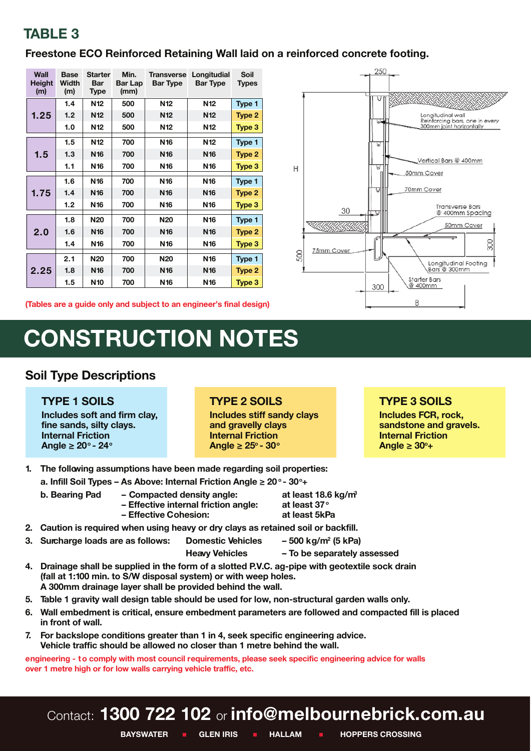### **TABLE 3**

#### **Freestone ECO Reinforced Retaining Wall laid on a reinforced concrete footing.**

| Wall<br><b>Height</b><br>(m) | Base<br>Width<br>(m) | Starter<br>Bar<br><b>Type</b> | Min.<br>Bar Lap<br>(mm) | <b>Transverse</b><br><b>Bar Type</b> | Longitudial<br><b>Bar Type</b> | Soil<br><b>Types</b> |
|------------------------------|----------------------|-------------------------------|-------------------------|--------------------------------------|--------------------------------|----------------------|
| 1.25                         | 1.4                  | N <sub>12</sub>               | 500                     | N <sub>12</sub>                      | N <sub>12</sub>                | Type 1               |
|                              | 1.2                  | N <sub>12</sub>               | 500                     | N <sub>12</sub>                      | N <sub>12</sub>                | Type 2               |
|                              | 1.0                  | N <sub>12</sub>               | 500                     | N <sub>12</sub>                      | N <sub>12</sub>                | Type 3               |
| 1.5                          | 1.5                  | N <sub>12</sub>               | 700                     | N <sub>16</sub>                      | N <sub>12</sub>                | Type 1               |
|                              | 1.3                  | N <sub>16</sub>               | 700                     | N <sub>16</sub>                      | N <sub>16</sub>                | Type 2               |
|                              | 1.1                  | N <sub>16</sub>               | 700                     | N <sub>16</sub>                      | N <sub>16</sub>                | Type 3               |
| 1.75                         | 1.6                  | N <sub>16</sub>               | 700                     | N <sub>16</sub>                      | N <sub>16</sub>                | Type 1               |
|                              | 1.4                  | N <sub>16</sub>               | 700                     | <b>N16</b>                           | <b>N16</b>                     | Type 2               |
|                              | 1.2                  | N <sub>16</sub>               | 700                     | N <sub>16</sub>                      | N <sub>16</sub>                | Type 3               |
| 2.0                          | 1.8                  | <b>N20</b>                    | 700                     | <b>N20</b>                           | <b>N16</b>                     | Type 1               |
|                              | 1.6                  | N <sub>16</sub>               | 700                     | <b>N16</b>                           | <b>N16</b>                     | Type 2               |
|                              | 1.4                  | N <sub>16</sub>               | 700                     | N <sub>16</sub>                      | N <sub>16</sub>                | Type 3               |
| 2.25                         | 2.1                  | <b>N20</b>                    | 700                     | <b>N20</b>                           | N <sub>16</sub>                | Type 1               |
|                              | 1.8                  | N <sub>16</sub>               | 700                     | <b>N16</b>                           | N <sub>16</sub>                | Type 2               |
|                              | 1.5                  | N <sub>10</sub>               | 700                     | N <sub>16</sub>                      | N <sub>16</sub>                | Type 3               |



# **CONSTRUCTION NOTES**

#### **Soil Type Descriptions**

#### **TYPE 1 SOILS**

**Includes soft and firm clay, fine sands, silty clays. Internal Friction Angle ≥ 20o - 24o**

#### **TYPE 2 SOILS**

**Includes stiff sandy clays and gravelly clays Internal Friction Angle ≥ 25o - 30o**

 $\overline{H}$ 

ξÑ

#### **TYPE 3 SOILS**

 $\overline{\mathbf{u}}$ 

 $\overline{u}$ 

300

30

75mm Cover

Longitudinal wall<br>Reinforcing bars, one in every<br>300mm joint horizontally

Vertical Bars @ 400mm

**Transverse Bars** 

Longitudinal Footing Bars @ 300mm

@ 400mm Spacing 50mm Cover

 $\approx$ 

50mm Cover 70mm Cover

Starter Bars

@ 400mm

**B** 

**Includes FCR, rock, sandstone and gravels. Internal Friction Angle ≥ 30o+**

- **1. The following assumptions have been made regarding soil properties:**
	- **a. Infill Soil Types As Above: Internal Friction Angle ≥ 20 <sup>o</sup> 30o+**
	- **b. Bearing Pad Compacted density angle:** at least 18.6 kg/m<sup>3</sup><br>- Effective internal friction angle: at least 37° **– Effective internal friction angle:** 
		- **Effective Cohesion: at least 5kPa**
- **2. Caution is required when using heavy or dry clays as retained soil or backfill.**
- **3. Surcharge loads are as follows: Domestic Vehicles** - 500 kg/m<sup>2</sup> (5 kPa)
	- **Heavy Vehicles To be separately assessed**

- **4. Drainage shall be supplied in the form of a slotted P.V.C. ag-pipe with geotextile sock drain (fall at 1:100 min. to S/W disposal system) or with weep holes. A 300mm drainage layer shall be provided behind the wall.**
- **5. Table 1 gravity wall design table should be used for low, non-structural garden walls only.**
- **6. Wall embedment is critical, ensure embedment parameters are followed and compacted fill is placed in front of wall.**
- **7. For backslope conditions greater than 1 in 4, seek specific engineering advice. Vehicle traffic should be allowed no closer than 1 metre behind the wall.**

**engineering - to comply with most council requirements, please seek specific engineering advice for walls over 1 metre high or for low walls carrying vehicle traffic, etc.**

# Contact: **1300 722 102** or **info@melbournebrick.com.au**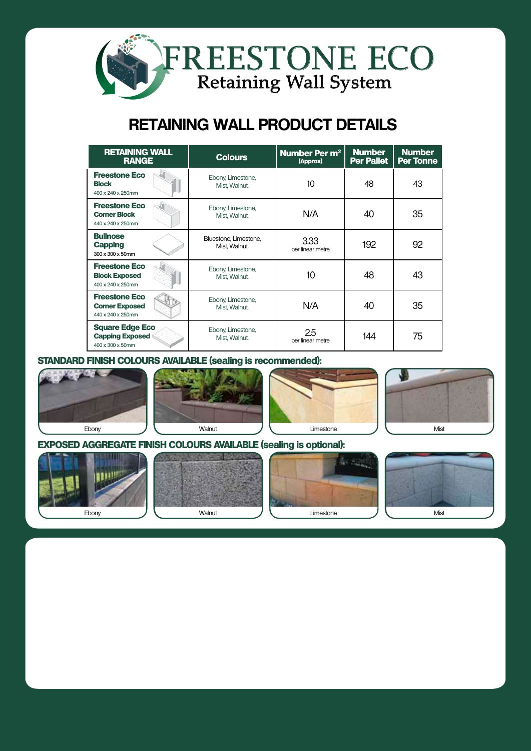

## **RETAINING WALL PRODUCT DETAILS**

| <b>RETAINING WALL</b><br><b>RANGE</b>                                |  | <b>Colours</b>                         | Number Per m <sup>2</sup><br>(Approx) | <b>Number</b><br><b>Per Pallet</b> | <b>Number</b><br><b>Per Tonne</b> |
|----------------------------------------------------------------------|--|----------------------------------------|---------------------------------------|------------------------------------|-----------------------------------|
| <b>Freestone Eco</b><br><b>Block</b><br>400 x 240 x 250mm            |  | Ebony, Limestone,<br>Mist, Walnut.     | 10                                    | 48                                 | 43                                |
| <b>Freestone Eco</b><br><b>Corner Block</b><br>440 x 240 x 250mm     |  | Ebony, Limestone,<br>Mist, Walnut.     | N/A                                   | 40                                 | 35                                |
| <b>Bullnose</b><br><b>Capping</b><br>300 x 300 x 50mm                |  | Bluestone, Limestone,<br>Mist, Walnut. | 3.33<br>per linear metre              | 192                                | 92                                |
| <b>Freestone Eco</b><br><b>Block Exposed</b><br>400 x 240 x 250mm    |  | Ebony, Limestone,<br>Mist, Walnut.     | 10                                    | 48                                 | 43                                |
| <b>Freestone Eco</b><br><b>Corner Exposed</b><br>440 x 240 x 250mm   |  | Ebony, Limestone,<br>Mist, Walnut.     | N/A                                   | 40                                 | 35                                |
| <b>Square Edge Eco</b><br><b>Capping Exposed</b><br>400 x 300 x 50mm |  | Ebony, Limestone,<br>Mist, Walnut.     | 2.5<br>per linear metre               | 144                                | 75                                |

#### **standard finish Colours Available (sealing is recommended):**









#### **exposed aggregate finish Colours Available (sealing is optional):**

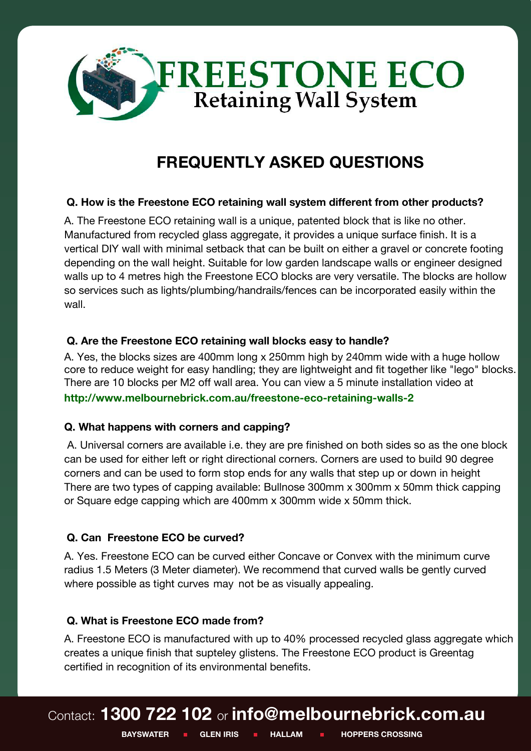

# **FREQUENTLY ASKED QUESTIONS**

#### **Q. How is the Freestone ECO retaining wall system different from other products?**

A. The Freestone ECO retaining wall is a unique, patented block that is like no other. Manufactured from recycled glass aggregate, it provides a unique surface finish. It is a vertical DIY wall with minimal setback that can be built on either a gravel or concrete footing depending on the wall height. Suitable for low garden landscape walls or engineer designed walls up to 4 metres high the Freestone ECO blocks are very versatile. The blocks are hollow so services such as lights/plumbing/handrails/fences can be incorporated easily within the wall.

#### **Q. Are the Freestone ECO retaining wall blocks easy to handle?**

A. Yes, the blocks sizes are 400mm long x 250mm high by 240mm wide with a huge hollow core to reduce weight for easy handling; they are lightweight and fit together like "lego" blocks. There are 10 blocks per M2 off wall area. You can view a 5 minute installation video at **[http://www.melbournebrick.com.au/freestone-eco](file:///C:/Documents%20and%20Settings/amoloney.IBP/Local%20Settings/Temporary%20Internet%20Files/Content.Outlook/YED3IC0Z/islandblock.com.au/retainingwalls/freestone-eco-system)-retaining-walls-2** 

### **Q. What happens with corners and capping?**

 A. Universal corners are available i.e. they are pre finished on both sides so as the one block can be used for either left or right directional corners. Corners are used to build 90 degree corners and can be used to form stop ends for any walls that step up or down in height. There are two types of capping available: Bullnose 300mm x 300mm x 50mm thick capping or Square edge capping which are 400mm x 300mm wide x 50mm thick.

#### **Q. Can Freestone ECO be curved?**

A. Yes. Freestone ECO can be curved either Concave or Convex with the minimum curve radius 1.5 Meters (3 Meter diameter). We recommend that curved walls be gently curved where possible as tight curves may not be as visually appealing.

#### **Q. What is Freestone ECO made from?**

A. Freestone ECO is manufactured with up to 40% processed recycled glass aggregate which creates a unique finish that supteley glistens. The Freestone ECO product is Greentag certified in recognition of its environmental benefits.

# Contact: **1300 722 102** or **info@melbournebrick.com.au**

**BAYSWATER I GLEN IRIS I HALLAM I HOPPERS CROSSING**